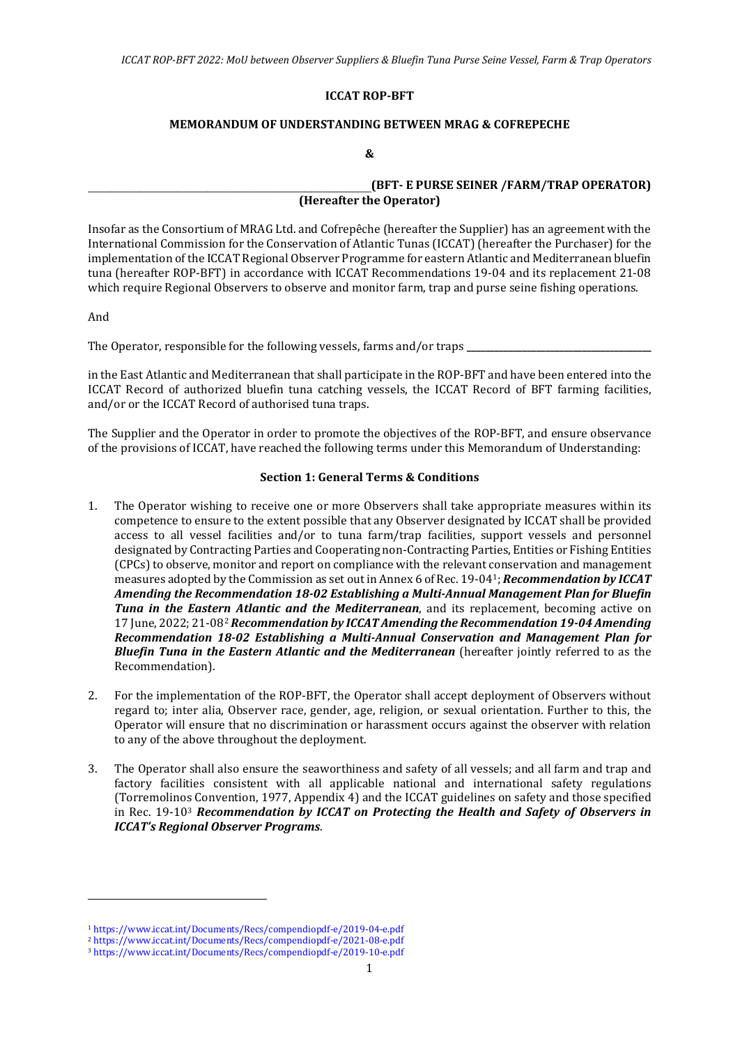#### **ICCAT ROP-BFT**

#### **MEMORANDUM OF UNDERSTANDING BETWEEN MRAG & COFREPECHE**

#### **&**

## \_\_\_\_\_\_\_\_\_\_\_\_\_\_\_\_\_\_\_\_\_\_\_\_\_\_\_\_\_\_\_\_\_\_\_\_\_\_**(BFT- E PURSE SEINER /FARM/TRAP OPERATOR) (Hereafter the Operator)**

Insofar as the Consortium of MRAG Ltd. and Cofrepêche (hereafter the Supplier) has an agreement with the International Commission for the Conservation of Atlantic Tunas (ICCAT) (hereafter the Purchaser) for the implementation of the ICCAT Regional Observer Programme for eastern Atlantic and Mediterranean bluefin tuna (hereafter ROP-BFT) in accordance with ICCAT Recommendations 19-04 and its replacement 21-08 which require Regional Observers to observe and monitor farm, trap and purse seine fishing operations.

And

The Operator, responsible for the following vessels, farms and/or traps **\_\_\_\_\_\_\_\_\_\_\_\_\_\_\_\_\_\_\_\_\_\_\_\_\_\_\_\_\_\_\_\_\_\_\_\_\_\_\_\_**

in the East Atlantic and Mediterranean that shall participate in the ROP-BFT and have been entered into the ICCAT Record of authorized bluefin tuna catching vessels, the ICCAT Record of BFT farming facilities, and/or or the ICCAT Record of authorised tuna traps.

The Supplier and the Operator in order to promote the objectives of the ROP-BFT, and ensure observance of the provisions of ICCAT, have reached the following terms under this Memorandum of Understanding:

#### **Section 1: General Terms & Conditions**

- 1. The Operator wishing to receive one or more Observers shall take appropriate measures within its competence to ensure to the extent possible that any Observer designated by ICCAT shall be provided access to all vessel facilities and/or to tuna farm/trap facilities, support vessels and personnel designated by Contracting Parties and Cooperating non-Contracting Parties, Entities or Fishing Entities (CPCs) to observe, monitor and report on compliance with the relevant conservation and management measures adopted by the Commission as set out in Annex 6 of Rec. 19-04[1;](#page-0-0) *Recommendation by ICCAT Amending the Recommendation 18-02 Establishing a Multi-Annual Management Plan for Bluefin Tuna in the Eastern Atlantic and the Mediterranean*, and its replacement, becoming active on 17 June, 2022; 21-08[2](#page-0-1) *Recommendation by ICCAT Amending the Recommendation 19-04 Amending Recommendation 18-02 Establishing a Multi-Annual Conservation and Management Plan for Bluefin Tuna in the Eastern Atlantic and the Mediterranean* (hereafter jointly referred to as the Recommendation).
- 2. For the implementation of the ROP-BFT, the Operator shall accept deployment of Observers without regard to; inter alia, Observer race, gender, age, religion, or sexual orientation. Further to this, the Operator will ensure that no discrimination or harassment occurs against the observer with relation to any of the above throughout the deployment.
- 3. The Operator shall also ensure the seaworthiness and safety of all vessels; and all farm and trap and factory facilities consistent with all applicable national and international safety regulations (Torremolinos Convention, 1977, Appendix 4) and the ICCAT guidelines on safety and those specified in Rec. 19-10[3](#page-0-2) *Recommendation by ICCAT on Protecting the Health and Safety of Observers in ICCAT's Regional Observer Programs*.

<sup>1</sup> <https://www.iccat.int/Documents/Recs/compendiopdf-e/2019-04-e.pdf>

<span id="page-0-1"></span><span id="page-0-0"></span><sup>2</sup> <https://www.iccat.int/Documents/Recs/compendiopdf-e/2021-08-e.pdf>

<span id="page-0-2"></span><sup>3</sup> <https://www.iccat.int/Documents/Recs/compendiopdf-e/2019-10-e.pdf>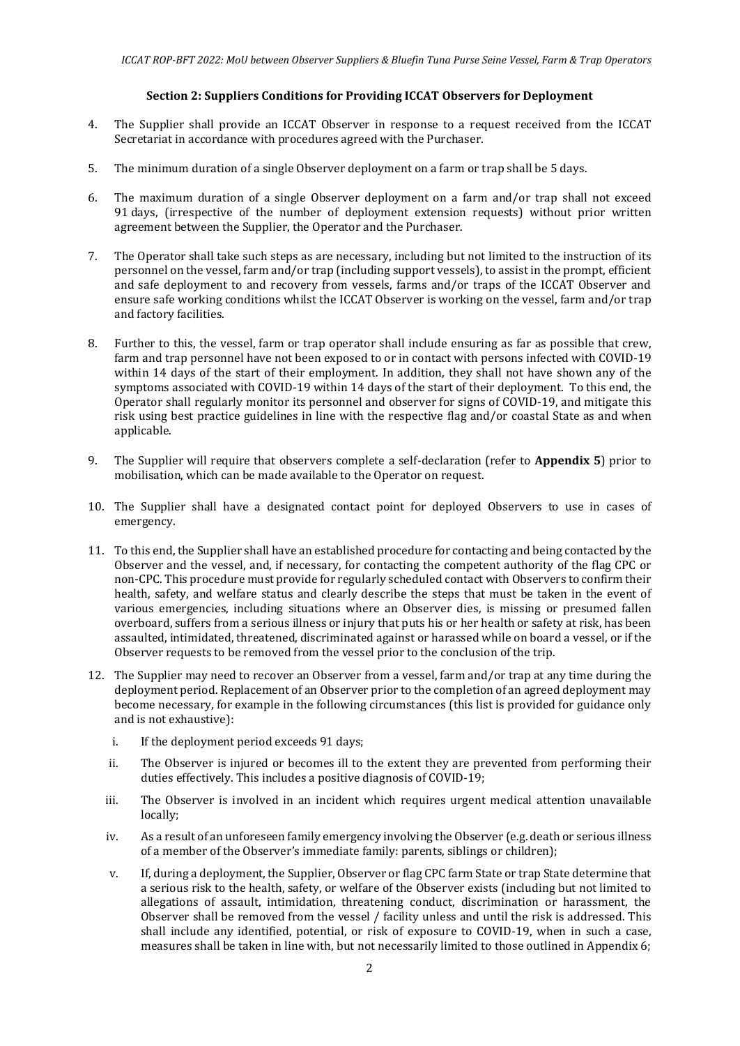#### **Section 2: Suppliers Conditions for Providing ICCAT Observers for Deployment**

- 4. The Supplier shall provide an ICCAT Observer in response to a request received from the ICCAT Secretariat in accordance with procedures agreed with the Purchaser.
- 5. The minimum duration of a single Observer deployment on a farm or trap shall be 5 days.
- 6. The maximum duration of a single Observer deployment on a farm and/or trap shall not exceed 91 days, (irrespective of the number of deployment extension requests) without prior written agreement between the Supplier, the Operator and the Purchaser.
- 7. The Operator shall take such steps as are necessary, including but not limited to the instruction of its personnel on the vessel, farm and/or trap (including support vessels), to assist in the prompt, efficient and safe deployment to and recovery from vessels, farms and/or traps of the ICCAT Observer and ensure safe working conditions whilst the ICCAT Observer is working on the vessel, farm and/or trap and factory facilities.
- 8. Further to this, the vessel, farm or trap operator shall include ensuring as far as possible that crew, farm and trap personnel have not been exposed to or in contact with persons infected with COVID-19 within 14 days of the start of their employment. In addition, they shall not have shown any of the symptoms associated with COVID-19 within 14 days of the start of their deployment. To this end, the Operator shall regularly monitor its personnel and observer for signs of COVID-19, and mitigate this risk using best practice guidelines in line with the respective flag and/or coastal State as and when applicable.
- 9. The Supplier will require that observers complete a self-declaration (refer to **Appendix 5**) prior to mobilisation, which can be made available to the Operator on request.
- 10. The Supplier shall have a designated contact point for deployed Observers to use in cases of emergency.
- 11. To this end, the Supplier shall have an established procedure for contacting and being contacted by the Observer and the vessel, and, if necessary, for contacting the competent authority of the flag CPC or non-CPC. This procedure must provide for regularly scheduled contact with Observers to confirm their health, safety, and welfare status and clearly describe the steps that must be taken in the event of various emergencies, including situations where an Observer dies, is missing or presumed fallen overboard, suffers from a serious illness or injury that puts his or her health or safety at risk, has been assaulted, intimidated, threatened, discriminated against or harassed while on board a vessel, or if the Observer requests to be removed from the vessel prior to the conclusion of the trip.
- 12. The Supplier may need to recover an Observer from a vessel, farm and/or trap at any time during the deployment period. Replacement of an Observer prior to the completion of an agreed deployment may become necessary, for example in the following circumstances (this list is provided for guidance only and is not exhaustive):
	- i. If the deployment period exceeds 91 days;
	- ii. The Observer is injured or becomes ill to the extent they are prevented from performing their duties effectively. This includes a positive diagnosis of COVID-19;
	- iii. The Observer is involved in an incident which requires urgent medical attention unavailable locally;
	- iv. As a result of an unforeseen family emergency involving the Observer (e.g. death or serious illness of a member of the Observer's immediate family: parents, siblings or children);
	- v. If, during a deployment, the Supplier, Observer or flag CPC farm State or trap State determine that a serious risk to the health, safety, or welfare of the Observer exists (including but not limited to allegations of assault, intimidation, threatening conduct, discrimination or harassment, the Observer shall be removed from the vessel / facility unless and until the risk is addressed. This shall include any identified, potential, or risk of exposure to COVID-19, when in such a case, measures shall be taken in line with, but not necessarily limited to those outlined in Appendix 6;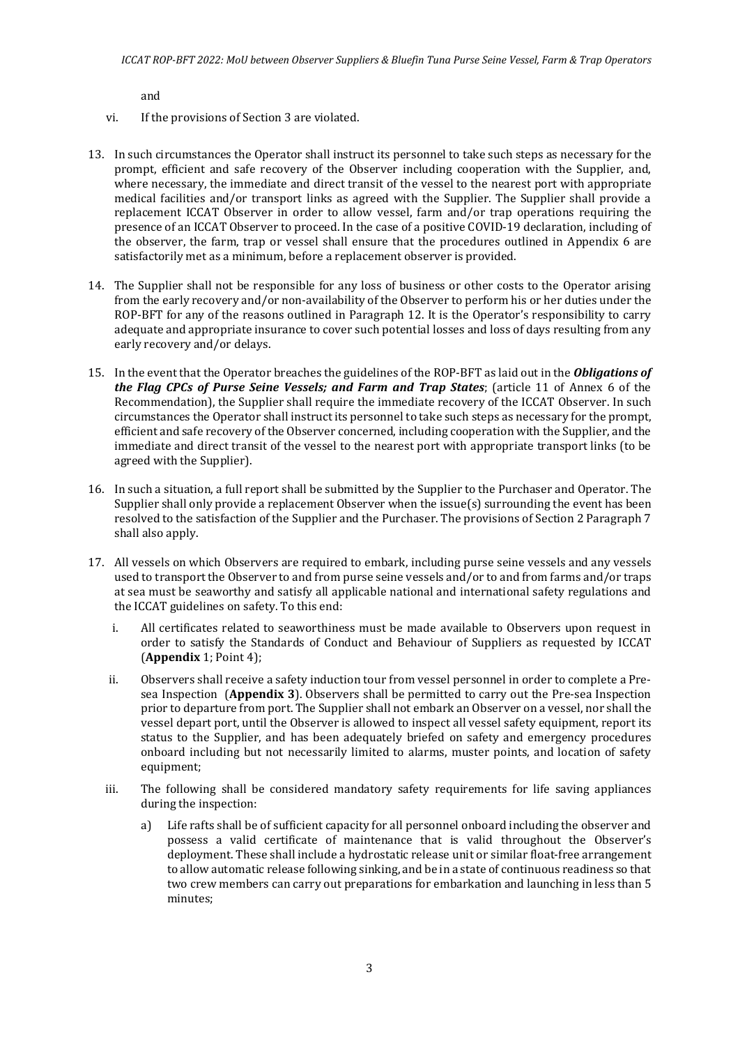and

- vi. If the provisions of Section 3 are violated.
- 13. In such circumstances the Operator shall instruct its personnel to take such steps as necessary for the prompt, efficient and safe recovery of the Observer including cooperation with the Supplier, and, where necessary, the immediate and direct transit of the vessel to the nearest port with appropriate medical facilities and/or transport links as agreed with the Supplier. The Supplier shall provide a replacement ICCAT Observer in order to allow vessel, farm and/or trap operations requiring the presence of an ICCAT Observer to proceed. In the case of a positive COVID-19 declaration, including of the observer, the farm, trap or vessel shall ensure that the procedures outlined in Appendix 6 are satisfactorily met as a minimum, before a replacement observer is provided.
- 14. The Supplier shall not be responsible for any loss of business or other costs to the Operator arising from the early recovery and/or non-availability of the Observer to perform his or her duties under the ROP-BFT for any of the reasons outlined in Paragraph 12. It is the Operator's responsibility to carry adequate and appropriate insurance to cover such potential losses and loss of days resulting from any early recovery and/or delays.
- 15. In the event that the Operator breaches the guidelines of the ROP-BFT as laid out in the *Obligations of the Flag CPCs of Purse Seine Vessels; and Farm and Trap States*; (article 11 of Annex 6 of the Recommendation), the Supplier shall require the immediate recovery of the ICCAT Observer. In such circumstances the Operator shall instruct its personnel to take such steps as necessary for the prompt, efficient and safe recovery of the Observer concerned, including cooperation with the Supplier, and the immediate and direct transit of the vessel to the nearest port with appropriate transport links (to be agreed with the Supplier).
- 16. In such a situation, a full report shall be submitted by the Supplier to the Purchaser and Operator. The Supplier shall only provide a replacement Observer when the issue(s) surrounding the event has been resolved to the satisfaction of the Supplier and the Purchaser. The provisions of Section 2 Paragraph 7 shall also apply.
- 17. All vessels on which Observers are required to embark, including purse seine vessels and any vessels used to transport the Observer to and from purse seine vessels and/or to and from farms and/or traps at sea must be seaworthy and satisfy all applicable national and international safety regulations and the ICCAT guidelines on safety. To this end:
	- i. All certificates related to seaworthiness must be made available to Observers upon request in order to satisfy the Standards of Conduct and Behaviour of Suppliers as requested by ICCAT (**Appendix** 1; Point 4);
	- ii. Observers shall receive a safety induction tour from vessel personnel in order to complete a Presea Inspection (**Appendix 3**). Observers shall be permitted to carry out the Pre-sea Inspection prior to departure from port. The Supplier shall not embark an Observer on a vessel, nor shall the vessel depart port, until the Observer is allowed to inspect all vessel safety equipment, report its status to the Supplier, and has been adequately briefed on safety and emergency procedures onboard including but not necessarily limited to alarms, muster points, and location of safety equipment;
	- iii. The following shall be considered mandatory safety requirements for life saving appliances during the inspection:
		- a) Life rafts shall be of sufficient capacity for all personnel onboard including the observer and possess a valid certificate of maintenance that is valid throughout the Observer's deployment. These shall include a hydrostatic release unit or similar float-free arrangement to allow automatic release following sinking, and be in a state of continuous readiness so that two crew members can carry out preparations for embarkation and launching in less than 5 minutes;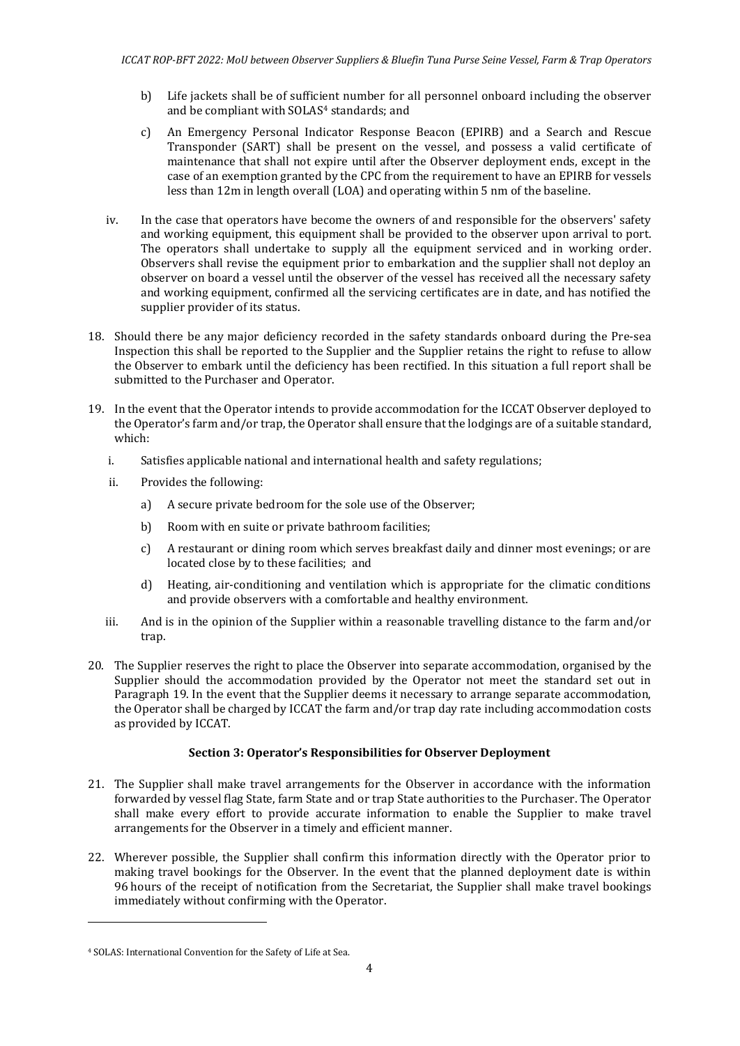- b) Life jackets shall be of sufficient number for all personnel onboard including the observer and be compliant with SOLAS<sup>[4](#page-3-0)</sup> standards; and
- c) An Emergency Personal Indicator Response Beacon (EPIRB) and a Search and Rescue Transponder (SART) shall be present on the vessel, and possess a valid certificate of maintenance that shall not expire until after the Observer deployment ends, except in the case of an exemption granted by the CPC from the requirement to have an EPIRB for vessels less than 12m in length overall (LOA) and operating within 5 nm of the baseline.
- iv. In the case that operators have become the owners of and responsible for the observers' safety and working equipment, this equipment shall be provided to the observer upon arrival to port. The operators shall undertake to supply all the equipment serviced and in working order. Observers shall revise the equipment prior to embarkation and the supplier shall not deploy an observer on board a vessel until the observer of the vessel has received all the necessary safety and working equipment, confirmed all the servicing certificates are in date, and has notified the supplier provider of its status.
- 18. Should there be any major deficiency recorded in the safety standards onboard during the Pre-sea Inspection this shall be reported to the Supplier and the Supplier retains the right to refuse to allow the Observer to embark until the deficiency has been rectified. In this situation a full report shall be submitted to the Purchaser and Operator.
- 19. In the event that the Operator intends to provide accommodation for the ICCAT Observer deployed to the Operator's farm and/or trap, the Operator shall ensure that the lodgings are of a suitable standard, which:
	- i. Satisfies applicable national and international health and safety regulations;
	- ii. Provides the following:
		- a) A secure private bedroom for the sole use of the Observer;
		- b) Room with en suite or private bathroom facilities;
		- c) A restaurant or dining room which serves breakfast daily and dinner most evenings; or are located close by to these facilities; and
		- d) Heating, air-conditioning and ventilation which is appropriate for the climatic conditions and provide observers with a comfortable and healthy environment.
	- iii. And is in the opinion of the Supplier within a reasonable travelling distance to the farm and/or trap.
- 20. The Supplier reserves the right to place the Observer into separate accommodation, organised by the Supplier should the accommodation provided by the Operator not meet the standard set out in Paragraph 19. In the event that the Supplier deems it necessary to arrange separate accommodation, the Operator shall be charged by ICCAT the farm and/or trap day rate including accommodation costs as provided by ICCAT.

## **Section 3: Operator's Responsibilities for Observer Deployment**

- 21. The Supplier shall make travel arrangements for the Observer in accordance with the information forwarded by vessel flag State, farm State and or trap State authorities to the Purchaser. The Operator shall make every effort to provide accurate information to enable the Supplier to make travel arrangements for the Observer in a timely and efficient manner.
- 22. Wherever possible, the Supplier shall confirm this information directly with the Operator prior to making travel bookings for the Observer. In the event that the planned deployment date is within 96 hours of the receipt of notification from the Secretariat, the Supplier shall make travel bookings immediately without confirming with the Operator.

<span id="page-3-0"></span><sup>4</sup> SOLAS: International Convention for the Safety of Life at Sea.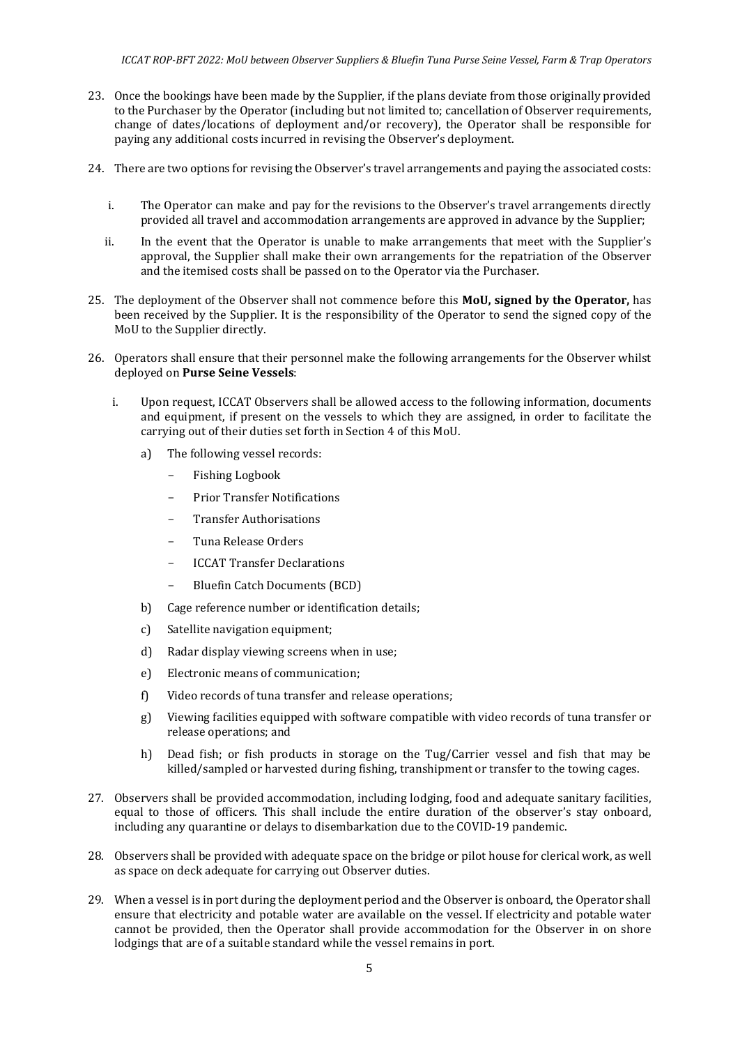- 23. Once the bookings have been made by the Supplier, if the plans deviate from those originally provided to the Purchaser by the Operator (including but not limited to; cancellation of Observer requirements, change of dates/locations of deployment and/or recovery), the Operator shall be responsible for paying any additional costs incurred in revising the Observer's deployment.
- 24. There are two options for revising the Observer's travel arrangements and paying the associated costs:
	- i. The Operator can make and pay for the revisions to the Observer's travel arrangements directly provided all travel and accommodation arrangements are approved in advance by the Supplier;
	- ii. In the event that the Operator is unable to make arrangements that meet with the Supplier's approval, the Supplier shall make their own arrangements for the repatriation of the Observer and the itemised costs shall be passed on to the Operator via the Purchaser.
- 25. The deployment of the Observer shall not commence before this **MoU, signed by the Operator,** has been received by the Supplier. It is the responsibility of the Operator to send the signed copy of the MoU to the Supplier directly.
- 26. Operators shall ensure that their personnel make the following arrangements for the Observer whilst deployed on **Purse Seine Vessels**:
	- i. Upon request, ICCAT Observers shall be allowed access to the following information, documents and equipment, if present on the vessels to which they are assigned, in order to facilitate the carrying out of their duties set forth in Section 4 of this MoU.
		- a) The following vessel records:
			- Fishing Logbook
			- Prior Transfer Notifications
			- Transfer Authorisations
			- Tuna Release Orders
			- **ICCAT Transfer Declarations**
			- Bluefin Catch Documents (BCD)
		- b) Cage reference number or identification details;
		- c) Satellite navigation equipment;
		- d) Radar display viewing screens when in use;
		- e) Electronic means of communication;
		- f) Video records of tuna transfer and release operations;
		- g) Viewing facilities equipped with software compatible with video records of tuna transfer or release operations; and
		- h) Dead fish; or fish products in storage on the Tug/Carrier vessel and fish that may be killed/sampled or harvested during fishing, transhipment or transfer to the towing cages.
- 27. Observers shall be provided accommodation, including lodging, food and adequate sanitary facilities, equal to those of officers. This shall include the entire duration of the observer's stay onboard, including any quarantine or delays to disembarkation due to the COVID-19 pandemic.
- 28. Observers shall be provided with adequate space on the bridge or pilot house for clerical work, as well as space on deck adequate for carrying out Observer duties.
- 29. When a vessel is in port during the deployment period and the Observer is onboard, the Operator shall ensure that electricity and potable water are available on the vessel. If electricity and potable water cannot be provided, then the Operator shall provide accommodation for the Observer in on shore lodgings that are of a suitable standard while the vessel remains in port.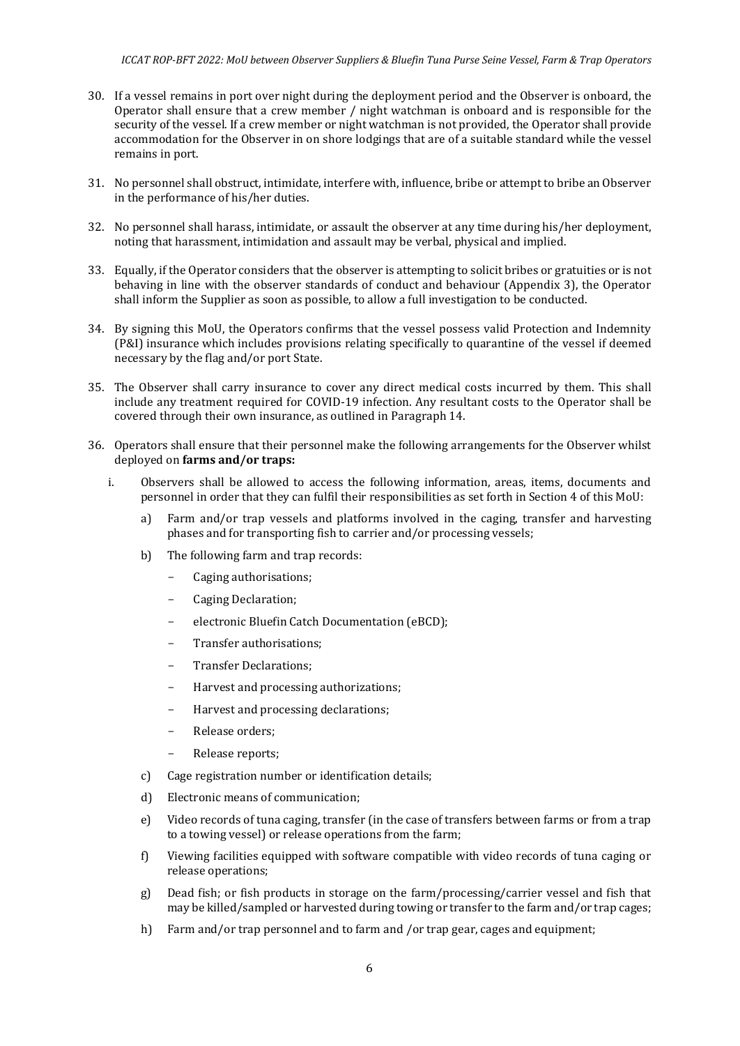- 30. If a vessel remains in port over night during the deployment period and the Observer is onboard, the Operator shall ensure that a crew member / night watchman is onboard and is responsible for the security of the vessel. If a crew member or night watchman is not provided, the Operator shall provide accommodation for the Observer in on shore lodgings that are of a suitable standard while the vessel remains in port.
- 31. No personnel shall obstruct, intimidate, interfere with, influence, bribe or attempt to bribe an Observer in the performance of his/her duties.
- 32. No personnel shall harass, intimidate, or assault the observer at any time during his/her deployment, noting that harassment, intimidation and assault may be verbal, physical and implied.
- 33. Equally, if the Operator considers that the observer is attempting to solicit bribes or gratuities or is not behaving in line with the observer standards of conduct and behaviour (Appendix 3), the Operator shall inform the Supplier as soon as possible, to allow a full investigation to be conducted.
- 34. By signing this MoU, the Operators confirms that the vessel possess valid Protection and Indemnity (P&I) insurance which includes provisions relating specifically to quarantine of the vessel if deemed necessary by the flag and/or port State.
- 35. The Observer shall carry insurance to cover any direct medical costs incurred by them. This shall include any treatment required for COVID-19 infection. Any resultant costs to the Operator shall be covered through their own insurance, as outlined in Paragraph 14.
- 36. Operators shall ensure that their personnel make the following arrangements for the Observer whilst deployed on **farms and/or traps:**
	- i. Observers shall be allowed to access the following information, areas, items, documents and personnel in order that they can fulfil their responsibilities as set forth in Section 4 of this MoU:
		- a) Farm and/or trap vessels and platforms involved in the caging, transfer and harvesting phases and for transporting fish to carrier and/or processing vessels;
		- b) The following farm and trap records:
			- Caging authorisations;
			- Caging Declaration;
			- electronic Bluefin Catch Documentation (eBCD);
			- Transfer authorisations;
			- Transfer Declarations;
			- Harvest and processing authorizations;
			- Harvest and processing declarations;
			- Release orders;
			- Release reports;
		- c) Cage registration number or identification details;
		- d) Electronic means of communication;
		- e) Video records of tuna caging, transfer (in the case of transfers between farms or from a trap to a towing vessel) or release operations from the farm;
		- f) Viewing facilities equipped with software compatible with video records of tuna caging or release operations;
		- g) Dead fish; or fish products in storage on the farm/processing/carrier vessel and fish that may be killed/sampled or harvested during towing or transfer to the farm and/or trap cages;
		- h) Farm and/or trap personnel and to farm and /or trap gear, cages and equipment;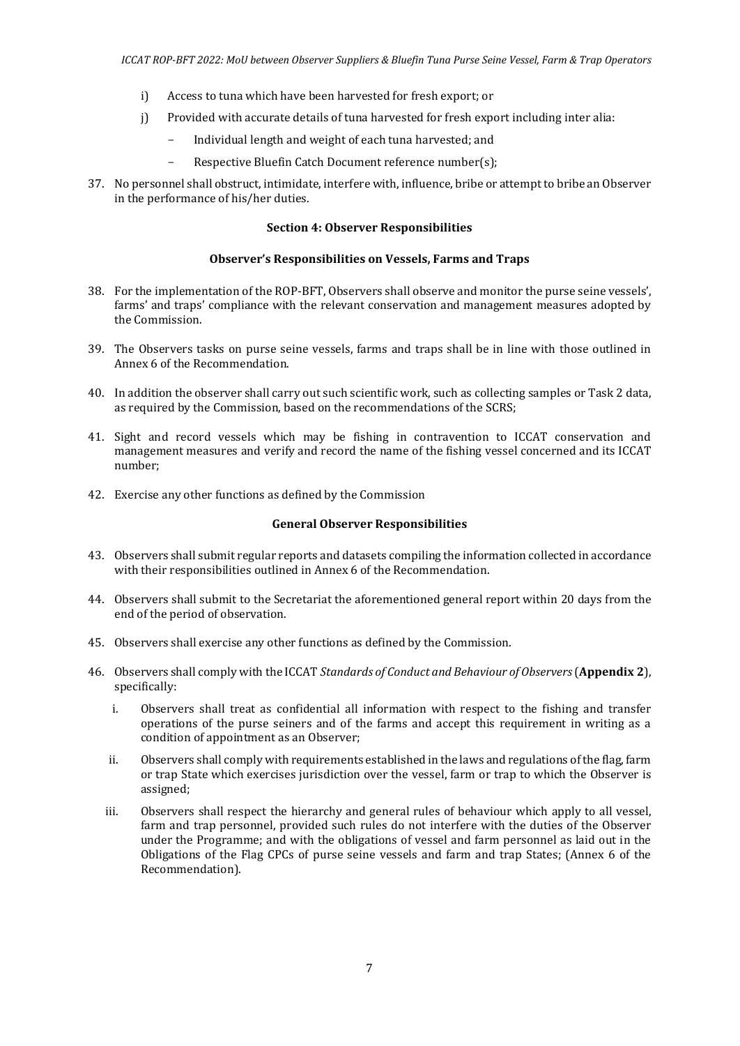- i) Access to tuna which have been harvested for fresh export; or
- j) Provided with accurate details of tuna harvested for fresh export including inter alia:
	- Individual length and weight of each tuna harvested; and
	- Respective Bluefin Catch Document reference number(s);
- 37. No personnel shall obstruct, intimidate, interfere with, influence, bribe or attempt to bribe an Observer in the performance of his/her duties.

#### **Section 4: Observer Responsibilities**

#### **Observer's Responsibilities on Vessels, Farms and Traps**

- 38. For the implementation of the ROP-BFT, Observers shall observe and monitor the purse seine vessels', farms' and traps' compliance with the relevant conservation and management measures adopted by the Commission.
- 39. The Observers tasks on purse seine vessels, farms and traps shall be in line with those outlined in Annex 6 of the Recommendation.
- 40. In addition the observer shall carry out such scientific work, such as collecting samples or Task 2 data, as required by the Commission, based on the recommendations of the SCRS;
- 41. Sight and record vessels which may be fishing in contravention to ICCAT conservation and management measures and verify and record the name of the fishing vessel concerned and its ICCAT number;
- 42. Exercise any other functions as defined by the Commission

#### **General Observer Responsibilities**

- 43. Observers shall submit regular reports and datasets compiling the information collected in accordance with their responsibilities outlined in Annex 6 of the Recommendation.
- 44. Observers shall submit to the Secretariat the aforementioned general report within 20 days from the end of the period of observation.
- 45. Observers shall exercise any other functions as defined by the Commission.
- 46. Observers shall comply with the ICCAT *Standards of Conduct and Behaviour of Observers*(**Appendix 2**), specifically:
	- i. Observers shall treat as confidential all information with respect to the fishing and transfer operations of the purse seiners and of the farms and accept this requirement in writing as a condition of appointment as an Observer;
	- ii. Observers shall comply with requirements established in the laws and regulations of the flag, farm or trap State which exercises jurisdiction over the vessel, farm or trap to which the Observer is assigned;
	- iii. Observers shall respect the hierarchy and general rules of behaviour which apply to all vessel, farm and trap personnel, provided such rules do not interfere with the duties of the Observer under the Programme; and with the obligations of vessel and farm personnel as laid out in the Obligations of the Flag CPCs of purse seine vessels and farm and trap States; (Annex 6 of the Recommendation).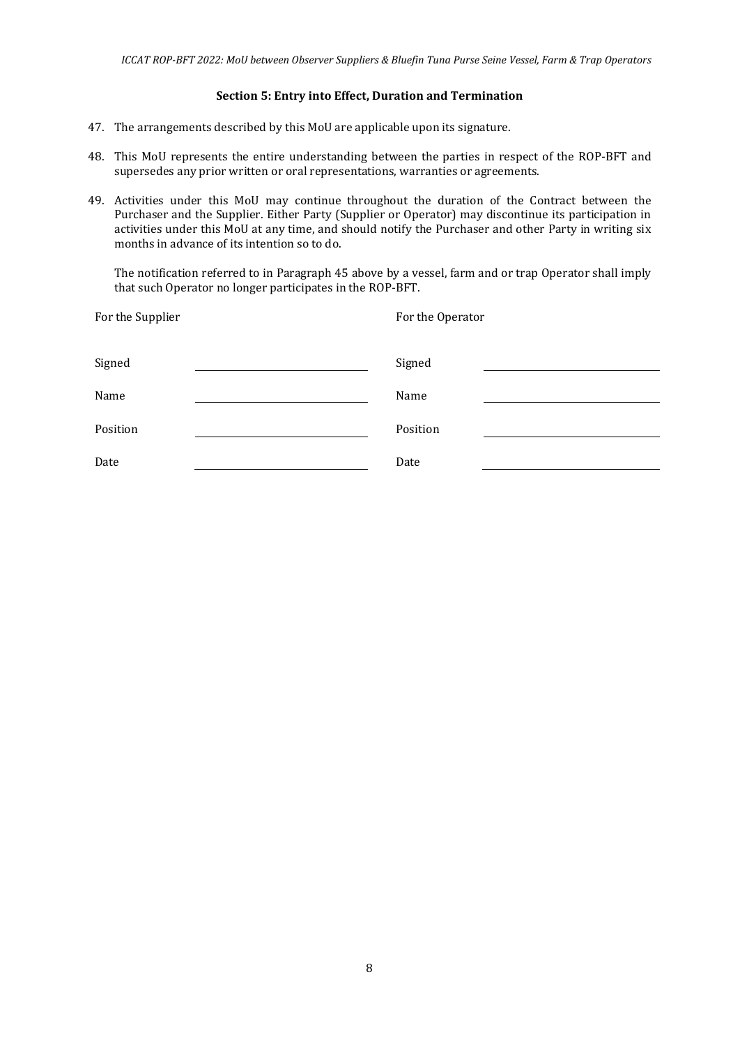#### **Section 5: Entry into Effect, Duration and Termination**

- 47. The arrangements described by this MoU are applicable upon its signature.
- 48. This MoU represents the entire understanding between the parties in respect of the ROP-BFT and supersedes any prior written or oral representations, warranties or agreements.
- 49. Activities under this MoU may continue throughout the duration of the Contract between the Purchaser and the Supplier. Either Party (Supplier or Operator) may discontinue its participation in activities under this MoU at any time, and should notify the Purchaser and other Party in writing six months in advance of its intention so to do.

The notification referred to in Paragraph 45 above by a vessel, farm and or trap Operator shall imply that such Operator no longer participates in the ROP-BFT.

| For the Supplier | For the Operator |
|------------------|------------------|
| Signed           | Signed           |
| Name             | Name             |
| Position         | Position         |
| Date             | Date             |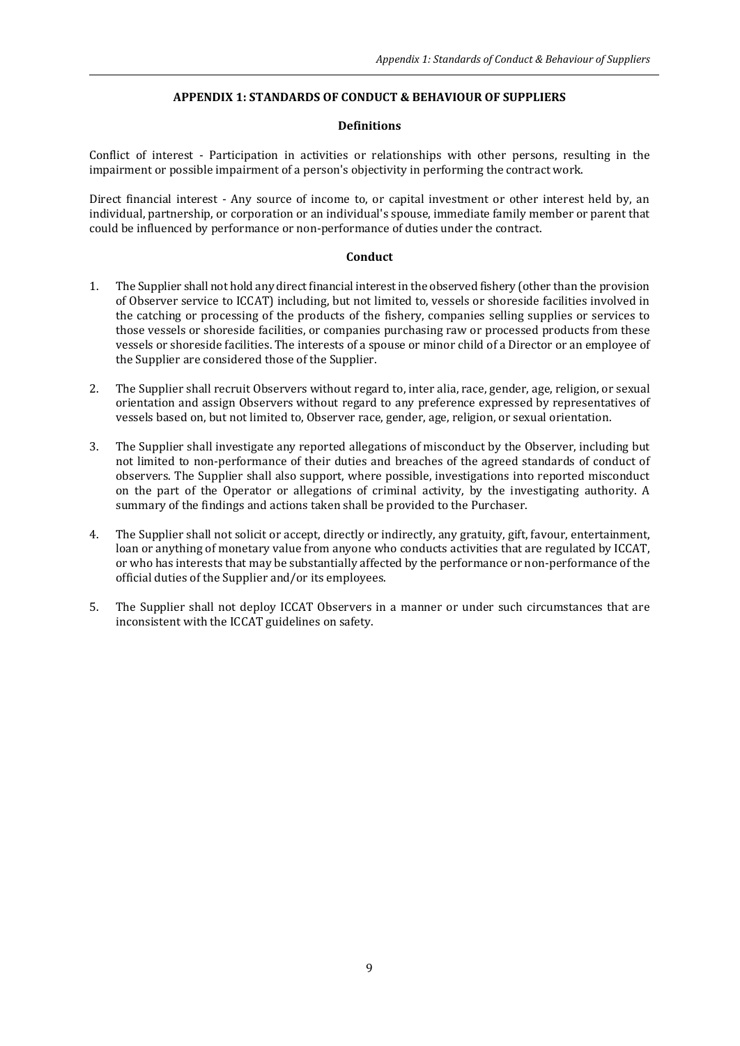#### **APPENDIX 1: STANDARDS OF CONDUCT & BEHAVIOUR OF SUPPLIERS**

#### **Definitions**

Conflict of interest - Participation in activities or relationships with other persons, resulting in the impairment or possible impairment of a person's objectivity in performing the contract work.

Direct financial interest - Any source of income to, or capital investment or other interest held by, an individual, partnership, or corporation or an individual's spouse, immediate family member or parent that could be influenced by performance or non-performance of duties under the contract.

#### **Conduct**

- 1. The Supplier shall not hold any direct financial interest in the observed fishery (other than the provision of Observer service to ICCAT) including, but not limited to, vessels or shoreside facilities involved in the catching or processing of the products of the fishery, companies selling supplies or services to those vessels or shoreside facilities, or companies purchasing raw or processed products from these vessels or shoreside facilities. The interests of a spouse or minor child of a Director or an employee of the Supplier are considered those of the Supplier.
- 2. The Supplier shall recruit Observers without regard to, inter alia, race, gender, age, religion, or sexual orientation and assign Observers without regard to any preference expressed by representatives of vessels based on, but not limited to, Observer race, gender, age, religion, or sexual orientation.
- 3. The Supplier shall investigate any reported allegations of misconduct by the Observer, including but not limited to non-performance of their duties and breaches of the agreed standards of conduct of observers. The Supplier shall also support, where possible, investigations into reported misconduct on the part of the Operator or allegations of criminal activity, by the investigating authority. A summary of the findings and actions taken shall be provided to the Purchaser.
- 4. The Supplier shall not solicit or accept, directly or indirectly, any gratuity, gift, favour, entertainment, loan or anything of monetary value from anyone who conducts activities that are regulated by ICCAT, or who has interests that may be substantially affected by the performance or non-performance of the official duties of the Supplier and/or its employees.
- 5. The Supplier shall not deploy ICCAT Observers in a manner or under such circumstances that are inconsistent with the ICCAT guidelines on safety.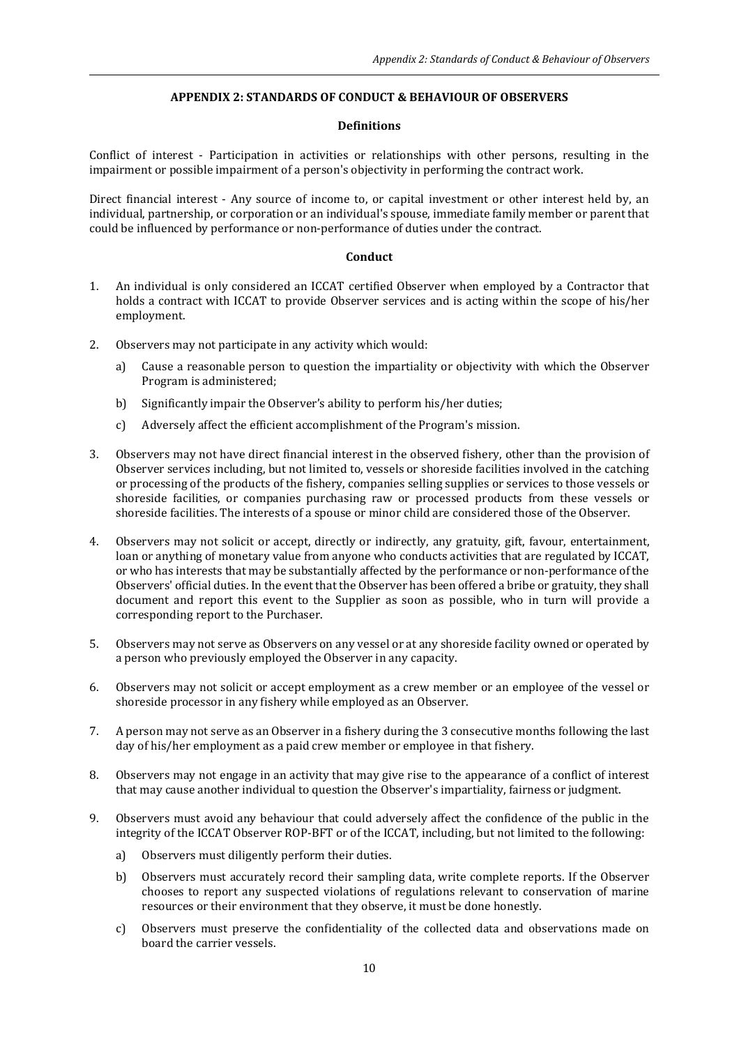### **APPENDIX 2: STANDARDS OF CONDUCT & BEHAVIOUR OF OBSERVERS**

#### **Definitions**

Conflict of interest - Participation in activities or relationships with other persons, resulting in the impairment or possible impairment of a person's objectivity in performing the contract work.

Direct financial interest - Any source of income to, or capital investment or other interest held by, an individual, partnership, or corporation or an individual's spouse, immediate family member or parent that could be influenced by performance or non-performance of duties under the contract.

#### **Conduct**

- 1. An individual is only considered an ICCAT certified Observer when employed by a Contractor that holds a contract with ICCAT to provide Observer services and is acting within the scope of his/her employment.
- 2. Observers may not participate in any activity which would:
	- a) Cause a reasonable person to question the impartiality or objectivity with which the Observer Program is administered;
	- b) Significantly impair the Observer's ability to perform his/her duties;
	- c) Adversely affect the efficient accomplishment of the Program's mission.
- 3. Observers may not have direct financial interest in the observed fishery, other than the provision of Observer services including, but not limited to, vessels or shoreside facilities involved in the catching or processing of the products of the fishery, companies selling supplies or services to those vessels or shoreside facilities, or companies purchasing raw or processed products from these vessels or shoreside facilities. The interests of a spouse or minor child are considered those of the Observer.
- 4. Observers may not solicit or accept, directly or indirectly, any gratuity, gift, favour, entertainment, loan or anything of monetary value from anyone who conducts activities that are regulated by ICCAT, or who has interests that may be substantially affected by the performance or non-performance of the Observers' official duties. In the event that the Observer has been offered a bribe or gratuity, they shall document and report this event to the Supplier as soon as possible, who in turn will provide a corresponding report to the Purchaser.
- 5. Observers may not serve as Observers on any vessel or at any shoreside facility owned or operated by a person who previously employed the Observer in any capacity.
- 6. Observers may not solicit or accept employment as a crew member or an employee of the vessel or shoreside processor in any fishery while employed as an Observer.
- 7. A person may not serve as an Observer in a fishery during the 3 consecutive months following the last day of his/her employment as a paid crew member or employee in that fishery.
- 8. Observers may not engage in an activity that may give rise to the appearance of a conflict of interest that may cause another individual to question the Observer's impartiality, fairness or judgment.
- 9. Observers must avoid any behaviour that could adversely affect the confidence of the public in the integrity of the ICCAT Observer ROP-BFT or of the ICCAT, including, but not limited to the following:
	- a) Observers must diligently perform their duties.
	- b) Observers must accurately record their sampling data, write complete reports. If the Observer chooses to report any suspected violations of regulations relevant to conservation of marine resources or their environment that they observe, it must be done honestly.
	- c) Observers must preserve the confidentiality of the collected data and observations made on board the carrier vessels.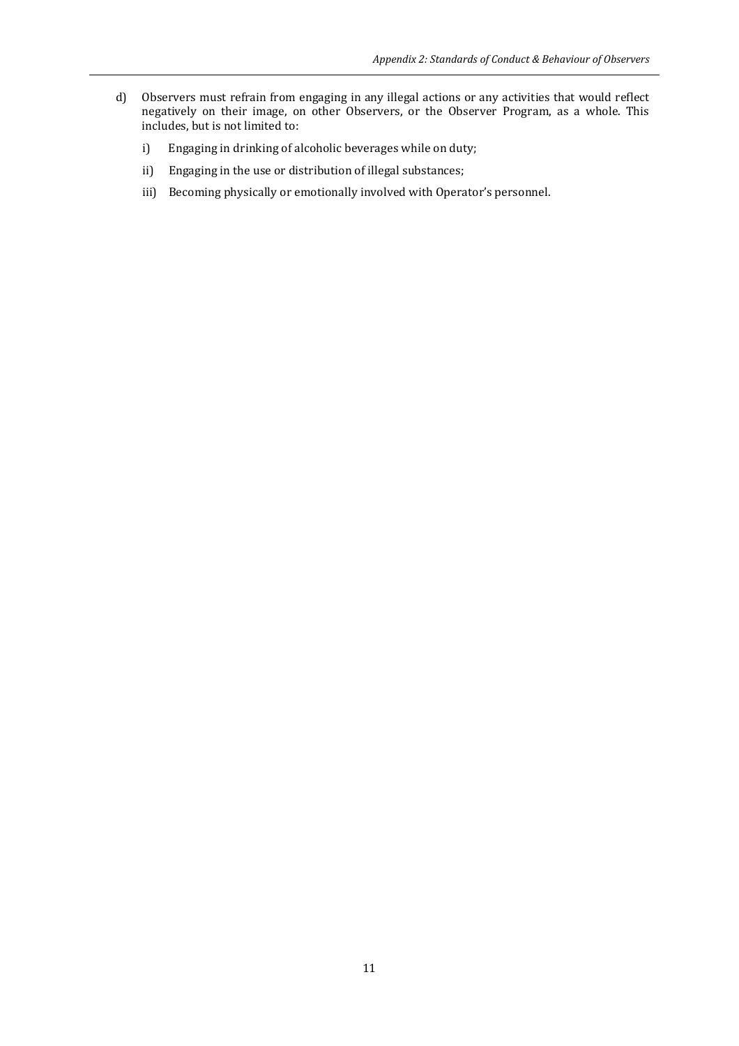- d) Observers must refrain from engaging in any illegal actions or any activities that would reflect negatively on their image, on other Observers, or the Observer Program, as a whole. This includes, but is not limited to:
	- i) Engaging in drinking of alcoholic beverages while on duty;
	- ii) Engaging in the use or distribution of illegal substances;
	- iii) Becoming physically or emotionally involved with Operator's personnel.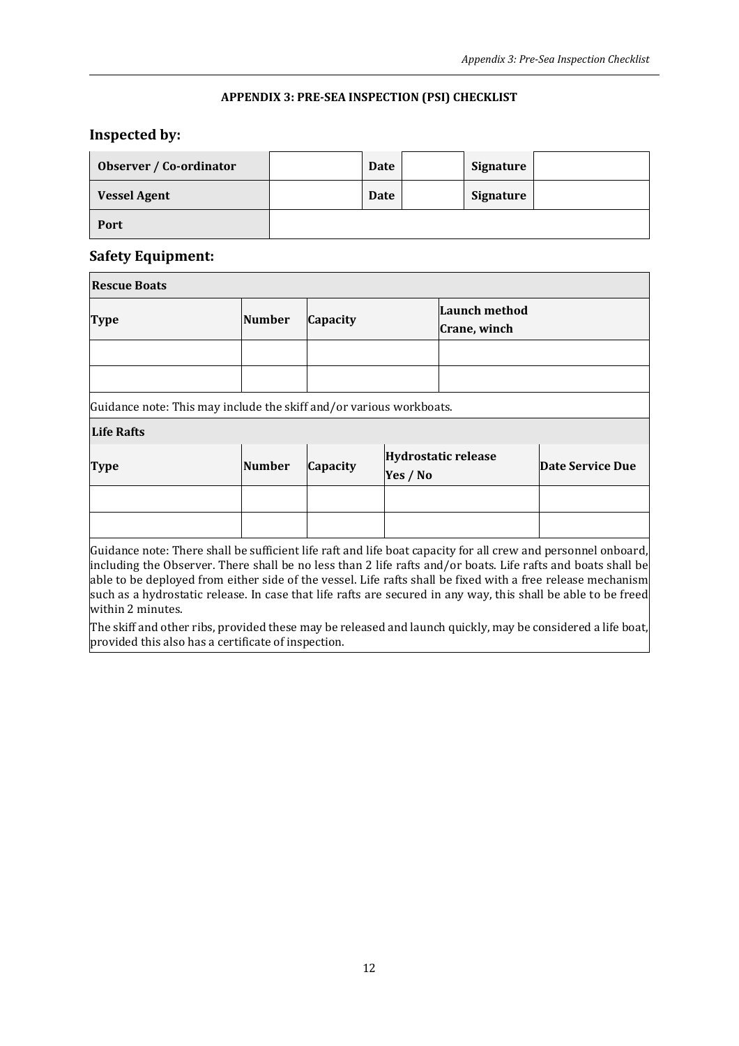## **APPENDIX 3: PRE-SEA INSPECTION (PSI) CHECKLIST**

# **Inspected by:**

| Observer / Co-ordinator | Date | Signature |  |
|-------------------------|------|-----------|--|
| <b>Vessel Agent</b>     | Date | Signature |  |
| Port                    |      |           |  |

## **Safety Equipment:**

| <b>Rescue Boats</b>                                                                                                                                                                                                                                                                                                                                                                                                                                                                |               |          |                                        |                                      |                         |
|------------------------------------------------------------------------------------------------------------------------------------------------------------------------------------------------------------------------------------------------------------------------------------------------------------------------------------------------------------------------------------------------------------------------------------------------------------------------------------|---------------|----------|----------------------------------------|--------------------------------------|-------------------------|
| <b>Type</b>                                                                                                                                                                                                                                                                                                                                                                                                                                                                        | <b>Number</b> | Capacity |                                        | <b>Launch method</b><br>Crane, winch |                         |
|                                                                                                                                                                                                                                                                                                                                                                                                                                                                                    |               |          |                                        |                                      |                         |
|                                                                                                                                                                                                                                                                                                                                                                                                                                                                                    |               |          |                                        |                                      |                         |
| Guidance note: This may include the skiff and/or various workboats.                                                                                                                                                                                                                                                                                                                                                                                                                |               |          |                                        |                                      |                         |
| Life Rafts                                                                                                                                                                                                                                                                                                                                                                                                                                                                         |               |          |                                        |                                      |                         |
| <b>Type</b>                                                                                                                                                                                                                                                                                                                                                                                                                                                                        | <b>Number</b> | Capacity | <b>Hydrostatic release</b><br>Yes / No |                                      | <b>Date Service Due</b> |
|                                                                                                                                                                                                                                                                                                                                                                                                                                                                                    |               |          |                                        |                                      |                         |
|                                                                                                                                                                                                                                                                                                                                                                                                                                                                                    |               |          |                                        |                                      |                         |
| Guidance note: There shall be sufficient life raft and life boat capacity for all crew and personnel onboard,<br>including the Observer. There shall be no less than 2 life rafts and/or boats. Life rafts and boats shall be<br>able to be deployed from either side of the vessel. Life rafts shall be fixed with a free release mechanism<br>such as a hydrostatic release. In case that life rafts are secured in any way, this shall be able to be freed<br>within 2 minutes. |               |          |                                        |                                      |                         |
| The skiff and other ribs, provided these may be released and launch quickly, may be considered a life boat,                                                                                                                                                                                                                                                                                                                                                                        |               |          |                                        |                                      |                         |

provided this also has a certificate of inspection.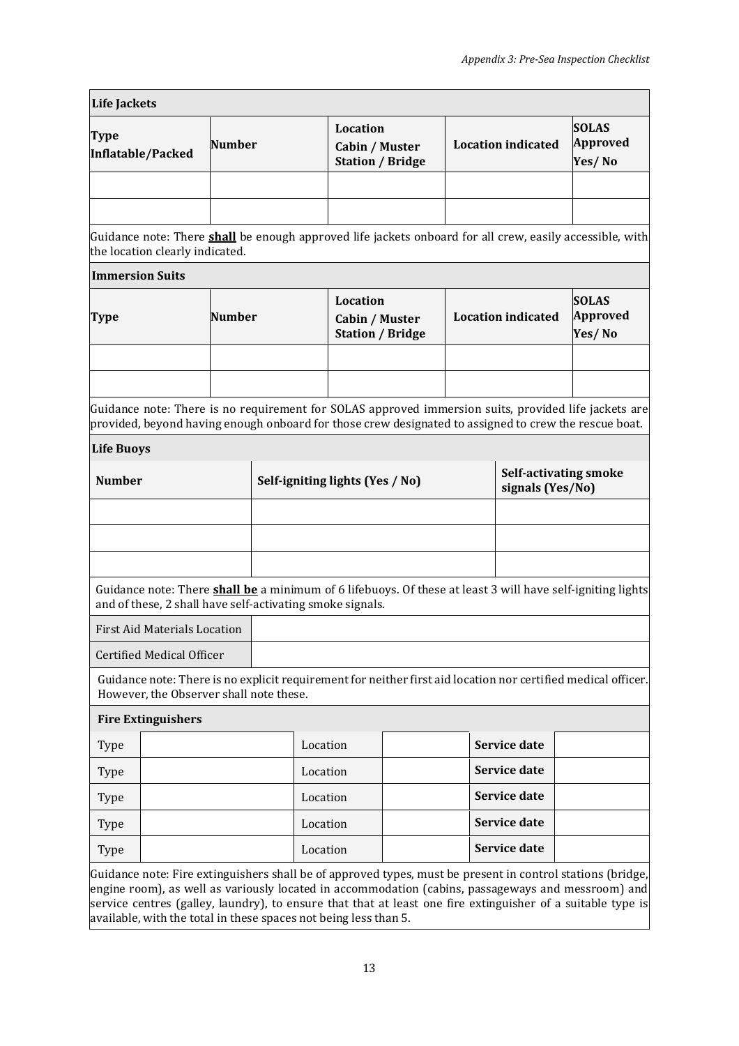| <b>Life Jackets</b>                                       |               |                                                                                                                                                                                                               |                     |                           |                                                  |  |
|-----------------------------------------------------------|---------------|---------------------------------------------------------------------------------------------------------------------------------------------------------------------------------------------------------------|---------------------|---------------------------|--------------------------------------------------|--|
| <b>Type</b><br>Inflatable/Packed                          | <b>Number</b> | Location<br>Cabin / Muster<br><b>Station / Bridge</b>                                                                                                                                                         |                     | <b>Location indicated</b> | <b>SOLAS</b><br><b>Approved</b><br>Yes/No        |  |
|                                                           |               |                                                                                                                                                                                                               |                     |                           |                                                  |  |
| the location clearly indicated.                           |               | Guidance note: There <b>shall</b> be enough approved life jackets onboard for all crew, easily accessible, with                                                                                               |                     |                           |                                                  |  |
| <b>Immersion Suits</b>                                    |               |                                                                                                                                                                                                               |                     |                           |                                                  |  |
| <b>Type</b>                                               | <b>Number</b> | Location<br>Cabin / Muster<br><b>Station / Bridge</b>                                                                                                                                                         |                     | <b>Location indicated</b> | <b>SOLAS</b><br>Approved<br>Yes/No               |  |
|                                                           |               |                                                                                                                                                                                                               |                     |                           |                                                  |  |
|                                                           |               | Guidance note: There is no requirement for SOLAS approved immersion suits, provided life jackets are<br>provided, beyond having enough onboard for those crew designated to assigned to crew the rescue boat. |                     |                           |                                                  |  |
| <b>Life Buoys</b>                                         |               |                                                                                                                                                                                                               |                     |                           |                                                  |  |
| <b>Number</b>                                             |               | Self-igniting lights (Yes / No)                                                                                                                                                                               |                     |                           | <b>Self-activating smoke</b><br>signals (Yes/No) |  |
|                                                           |               |                                                                                                                                                                                                               |                     |                           |                                                  |  |
|                                                           |               |                                                                                                                                                                                                               |                     |                           |                                                  |  |
|                                                           |               |                                                                                                                                                                                                               |                     |                           |                                                  |  |
| and of these, 2 shall have self-activating smoke signals. |               | Guidance note: There <b>shall be</b> a minimum of 6 lifebuoys. Of these at least 3 will have self-igniting lights                                                                                             |                     |                           |                                                  |  |
| <b>First Aid Materials Location</b>                       |               |                                                                                                                                                                                                               |                     |                           |                                                  |  |
| <b>Certified Medical Officer</b>                          |               |                                                                                                                                                                                                               |                     |                           |                                                  |  |
| However, the Observer shall note these.                   |               | Guidance note: There is no explicit requirement for neither first aid location nor certified medical officer.                                                                                                 |                     |                           |                                                  |  |
| <b>Fire Extinguishers</b>                                 |               |                                                                                                                                                                                                               |                     |                           |                                                  |  |
| Type                                                      |               | Location                                                                                                                                                                                                      |                     | <b>Service date</b>       |                                                  |  |
| Type                                                      |               | Location                                                                                                                                                                                                      |                     | <b>Service date</b>       |                                                  |  |
| Type                                                      |               | Location                                                                                                                                                                                                      |                     | <b>Service date</b>       |                                                  |  |
| Type                                                      |               | Location                                                                                                                                                                                                      |                     | <b>Service date</b>       |                                                  |  |
|                                                           |               |                                                                                                                                                                                                               | <b>Service date</b> |                           |                                                  |  |

engine room), as well as variously located in accommodation (cabins, passageways and messroom) and service centres (galley, laundry), to ensure that that at least one fire extinguisher of a suitable type is available, with the total in these spaces not being less than 5.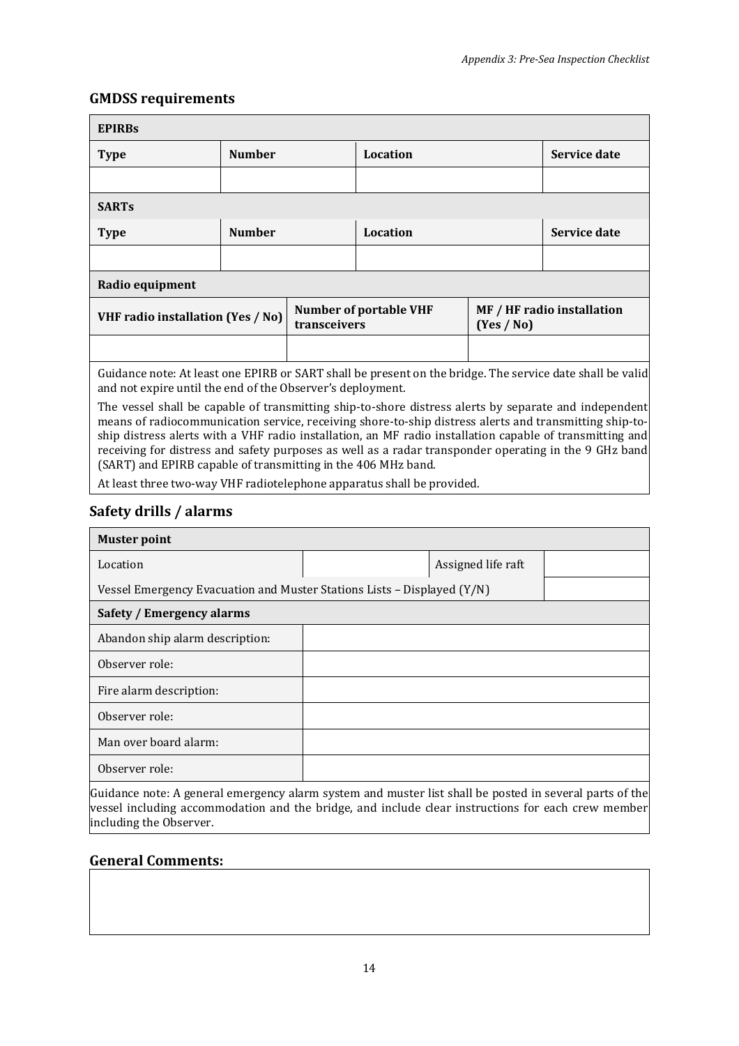## **GMDSS requirements**

| <b>EPIRBS</b>                                                                                                                                                           |               |              |                               |            |                            |
|-------------------------------------------------------------------------------------------------------------------------------------------------------------------------|---------------|--------------|-------------------------------|------------|----------------------------|
| <b>Type</b>                                                                                                                                                             | <b>Number</b> |              | Location                      |            | Service date               |
|                                                                                                                                                                         |               |              |                               |            |                            |
| <b>SARTs</b>                                                                                                                                                            |               |              |                               |            |                            |
| <b>Type</b>                                                                                                                                                             | <b>Number</b> |              | <b>Location</b>               |            | Service date               |
|                                                                                                                                                                         |               |              |                               |            |                            |
| Radio equipment                                                                                                                                                         |               |              |                               |            |                            |
| <b>VHF radio installation (Yes / No)</b>                                                                                                                                |               | transceivers | <b>Number of portable VHF</b> | (Yes / No) | MF / HF radio installation |
|                                                                                                                                                                         |               |              |                               |            |                            |
| Guidance note: At least one EPIRB or SART shall be present on the bridge. The service date shall be valid<br>and not expire until the end of the Observer's deployment. |               |              |                               |            |                            |

The vessel shall be capable of transmitting ship-to-shore distress alerts by separate and independent means of radiocommunication service, receiving shore-to-ship distress alerts and transmitting ship-toship distress alerts with a VHF radio installation, an MF radio installation capable of transmitting and receiving for distress and safety purposes as well as a radar transponder operating in the 9 GHz band (SART) and EPIRB capable of transmitting in the 406 MHz band.

At least three two-way VHF radiotelephone apparatus shall be provided.

## **Safety drills / alarms**

| <b>Muster point</b>                                                     |  |                    |  |  |  |
|-------------------------------------------------------------------------|--|--------------------|--|--|--|
| Location                                                                |  | Assigned life raft |  |  |  |
| Vessel Emergency Evacuation and Muster Stations Lists - Displayed (Y/N) |  |                    |  |  |  |
| Safety / Emergency alarms                                               |  |                    |  |  |  |
| Abandon ship alarm description:                                         |  |                    |  |  |  |
| Observer role:                                                          |  |                    |  |  |  |
| Fire alarm description:                                                 |  |                    |  |  |  |
| Observer role:                                                          |  |                    |  |  |  |
| Man over board alarm:                                                   |  |                    |  |  |  |
| Observer role:                                                          |  |                    |  |  |  |
|                                                                         |  |                    |  |  |  |

Guidance note: A general emergency alarm system and muster list shall be posted in several parts of the vessel including accommodation and the bridge, and include clear instructions for each crew member including the Observer.

## **General Comments:**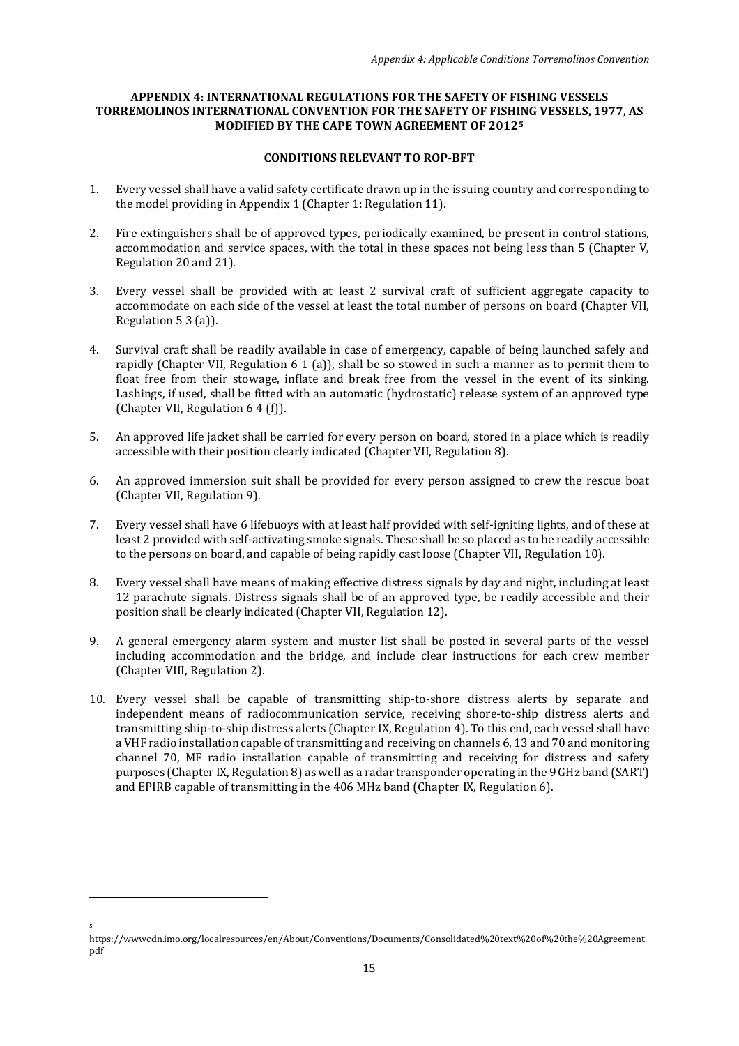#### **APPENDIX 4: INTERNATIONAL REGULATIONS FOR THE SAFETY OF FISHING VESSELS TORREMOLINOS INTERNATIONAL CONVENTION FOR THE SAFETY OF FISHING VESSELS, 1977, AS MODIFIED BY THE CAPE TOWN AGREEMENT OF 2012[5](#page-14-0)**

#### **CONDITIONS RELEVANT TO ROP-BFT**

- 1. Every vessel shall have a valid safety certificate drawn up in the issuing country and corresponding to the model providing in Appendix 1 (Chapter 1: Regulation 11).
- 2. Fire extinguishers shall be of approved types, periodically examined, be present in control stations, accommodation and service spaces, with the total in these spaces not being less than 5 (Chapter V, Regulation 20 and 21).
- 3. Every vessel shall be provided with at least 2 survival craft of sufficient aggregate capacity to accommodate on each side of the vessel at least the total number of persons on board (Chapter VII, Regulation 5 3 (a)).
- 4. Survival craft shall be readily available in case of emergency, capable of being launched safely and rapidly (Chapter VII, Regulation 6 1 (a)), shall be so stowed in such a manner as to permit them to float free from their stowage, inflate and break free from the vessel in the event of its sinking. Lashings, if used, shall be fitted with an automatic (hydrostatic) release system of an approved type (Chapter VII, Regulation 6 4 (f)).
- 5. An approved life jacket shall be carried for every person on board, stored in a place which is readily accessible with their position clearly indicated (Chapter VII, Regulation 8).
- 6. An approved immersion suit shall be provided for every person assigned to crew the rescue boat (Chapter VII, Regulation 9).
- 7. Every vessel shall have 6 lifebuoys with at least half provided with self-igniting lights, and of these at least 2 provided with self-activating smoke signals. These shall be so placed as to be readily accessible to the persons on board, and capable of being rapidly cast loose (Chapter VII, Regulation 10).
- 8. Every vessel shall have means of making effective distress signals by day and night, including at least 12 parachute signals. Distress signals shall be of an approved type, be readily accessible and their position shall be clearly indicated (Chapter VII, Regulation 12).
- 9. A general emergency alarm system and muster list shall be posted in several parts of the vessel including accommodation and the bridge, and include clear instructions for each crew member (Chapter VIII, Regulation 2).
- 10. Every vessel shall be capable of transmitting ship-to-shore distress alerts by separate and independent means of radiocommunication service, receiving shore-to-ship distress alerts and transmitting ship-to-ship distress alerts (Chapter IX, Regulation 4). To this end, each vessel shall have a VHF radio installation capable of transmitting and receiving on channels 6, 13 and 70 and monitoring channel 70, MF radio installation capable of transmitting and receiving for distress and safety purposes (Chapter IX, Regulation 8) as well as a radar transponder operating in the 9 GHz band (SART) and EPIRB capable of transmitting in the 406 MHz band (Chapter IX, Regulation 6).

5

<span id="page-14-0"></span>https://wwwcdn.imo.org/localresources/en/About/Conventions/Documents/Consolidated%20text%20of%20the%20Agreement. pdf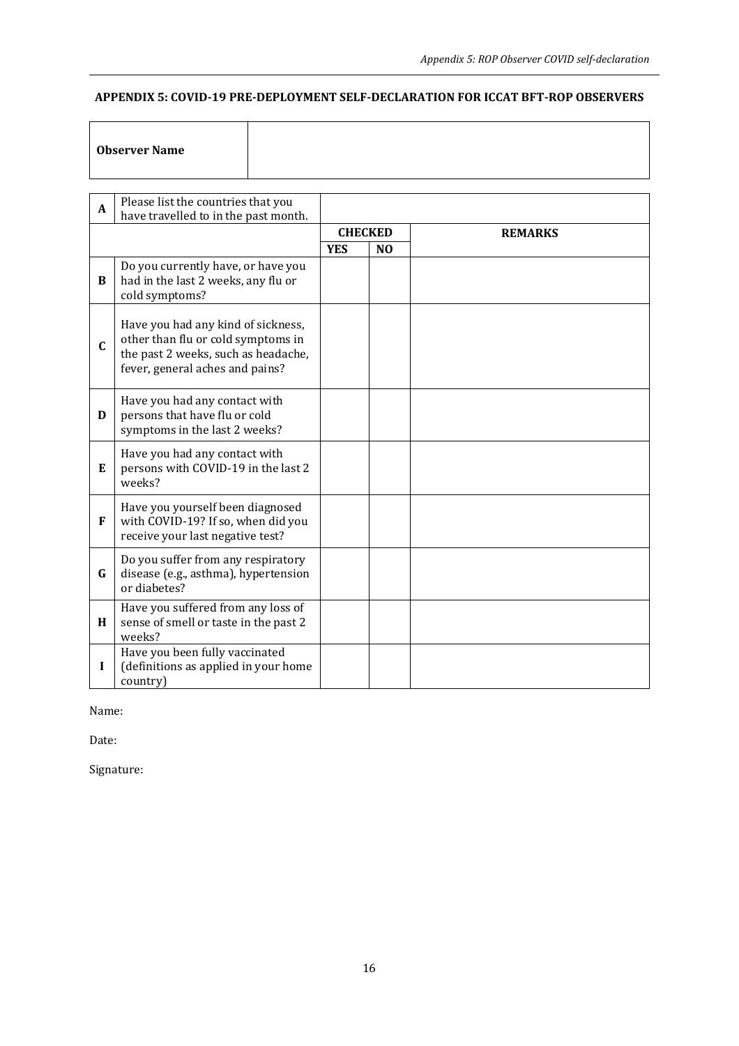## **APPENDIX 5: COVID-19 PRE-DEPLOYMENT SELF-DECLARATION FOR ICCAT BFT-ROP OBSERVERS**

## **Observer Name**

| A | Please list the countries that you<br>have travelled to in the past month.                                                                         |                |                |                |
|---|----------------------------------------------------------------------------------------------------------------------------------------------------|----------------|----------------|----------------|
|   |                                                                                                                                                    | <b>CHECKED</b> |                | <b>REMARKS</b> |
|   |                                                                                                                                                    | <b>YES</b>     | N <sub>0</sub> |                |
| B | Do you currently have, or have you<br>had in the last 2 weeks, any flu or<br>cold symptoms?                                                        |                |                |                |
| C | Have you had any kind of sickness,<br>other than flu or cold symptoms in<br>the past 2 weeks, such as headache,<br>fever, general aches and pains? |                |                |                |
| D | Have you had any contact with<br>persons that have flu or cold<br>symptoms in the last 2 weeks?                                                    |                |                |                |
| E | Have you had any contact with<br>persons with COVID-19 in the last 2<br>weeks?                                                                     |                |                |                |
| F | Have you yourself been diagnosed<br>with COVID-19? If so, when did you<br>receive your last negative test?                                         |                |                |                |
| G | Do you suffer from any respiratory<br>disease (e.g., asthma), hypertension<br>or diabetes?                                                         |                |                |                |
| H | Have you suffered from any loss of<br>sense of smell or taste in the past 2<br>weeks?                                                              |                |                |                |
| I | Have you been fully vaccinated<br>(definitions as applied in your home<br>country)                                                                 |                |                |                |

Name:

Date:

Signature: